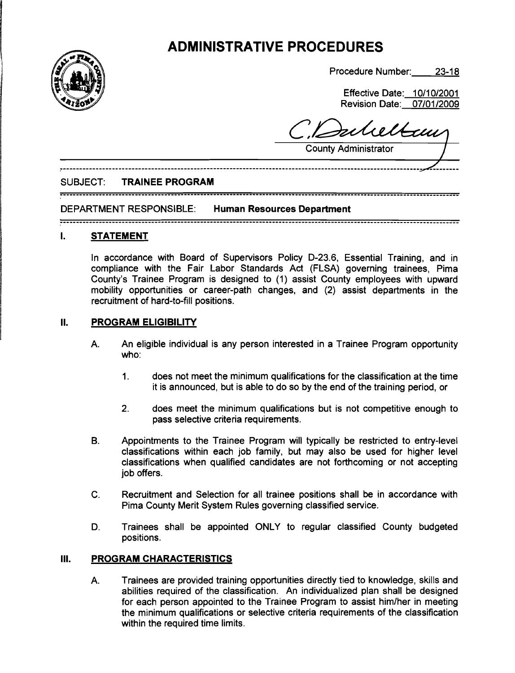# **ADMINISTRATIVE PROCEDURES**



Procedure Number: 23-18

Effective Date: 10/10/2001 Revision Date: 07/01/2009

nhettam

County Administrator /

#### SUBJECT: **TRAINEE PROGRAM**

..........................................................................................................................

DEPARTMENT RESPONSIBLE: **Human Resources Department** 

..........................................................................................................................

#### **I. STATEMENT**

In accordance with Board of Supervisors Policy D-23.6, Essential Training, and in compliance with the Fair Labor Standards Act (FLSA) governing trainees, Pima County's Trainee Program is designed to (1) assist County employees with upward mobility opportunities or career-path changes, and (2) assist departments in the recruitment of hard-to-fill positions.

#### **II. PROGRAM ELIGIBILITY**

- A. An eligible individual is any person interested in a Trainee Program opportunity who:
	- 1. does not meet the minimum qualifications for the classification at the time it is announced, but is able to do so by the end of the training period, or
	- 2. does meet the minimum qualifications but is not competitive enough to pass selective criteria requirements.
- B. Appointments to the Trainee Program will typically be restricted to entry-level classifications within each job family, but may also be used for higher level classifications when qualified candidates are not forthcoming or not accepting job offers.
- C. Recruitment and Selection for all trainee positions shall be in accordance with Pima County Merit System Rules governing classified service.
- D. Trainees shall be appointed ONLY to regular classified County budgeted positions.

#### **Ill. PROGRAM CHARACTERISTICS**

A. Trainees are provided training opportunities directly tied to knowledge, skills and abilities required of the classification. An individualized plan shall be designed for each person appointed to the Trainee Program to assist him/her in meeting the minimum qualifications or selective criteria requirements of the classification within the required time limits.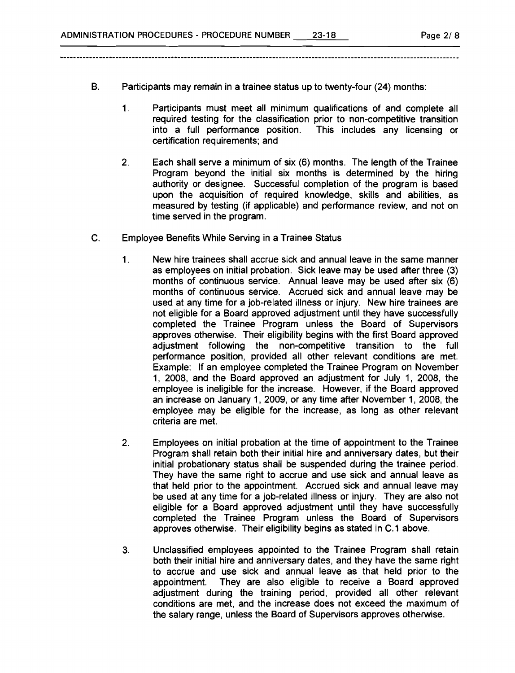- B. Participants may remain in a trainee status up to twenty-four (24) months:
	- 1. Participants must meet all minimum qualifications of and complete all required testing for the classification prior to non-competitive transition into a full performance position. This includes any licensing or certification requirements; and
	- 2. Each shall serve a minimum of six (6) months. The length of the Trainee Program beyond the initial six months is determined by the hiring authority or designee. Successful completion of the program is based upon the acquisition of required knowledge, skills and abilities, as measured by testing (if applicable) and performance review, and not on time served in the program.
- **C.** Employee Benefits While Serving in a Trainee Status
	- 1. New hire trainees shall accrue sick and annual leave in the same manner as employees on initial probation. Sick leave may be used after three (3) months of continuous service. Annual leave may be used after six (6) months of continuous service. Accrued sick and annual leave may be used at any time for a job-related illness or injury. New hire trainees are not eligible for a Board approved adjustment until they have successfully completed the Trainee Program unless the Board of Supervisors approves otherwise. Their eligibility begins with the first Board approved adjustment following the non-competitive transition to the full performance position, provided all other relevant conditions are met. Example: If an employee completed the Trainee Program on November 1, 2008, and the Board approved an adjustment for July 1, 2008, the employee is ineligible for the increase. However, if the Board approved an increase on January 1, 2009, or any time after November 1, 2008, the employee may be eligible for the increase, as long as other relevant criteria are met.
	- $2.$ Employees on initial probation at the time of appointment to the Trainee Program shall retain both their initial hire and anniversary dates, but their initial probationary status shall be suspended during the trainee period. They have the same right to accrue and use sick and annual leave as that held prior to the appointment. Accrued sick and annual leave may be used at any time for a job-related illness or injury. They are also not eligible for a Board approved adjustment until they have successfully completed the Trainee Program unless the Board of Supervisors approves otherwise. Their eligibility begins as stated in C. 1 above.
	- 3. Unclassified employees appointed to the Trainee Program shall retain both their initial hire and anniversary dates, and they have the same right to accrue and use sick and annual leave as that held prior to the appointment. They are also eligible to receive a Board approved adjustment during the training period, provided all other relevant conditions are met, and the increase does not exceed the maximum of the salary range, unless the Board of Supervisors approves otherwise.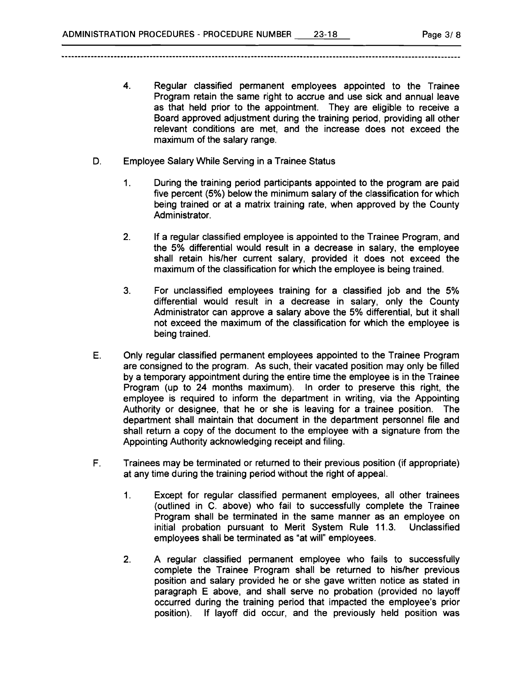- **4.** Regular classified permanent employees appointed to the Trainee Program retain the same right to accrue and use sick and annual leave as that held prior to the appointment. They are eligible to receive a Board approved adjustment during the training period, providing all other relevant conditions are met, and the increase does not exceed the maximum of the salary range.
- D. Employee Salary While Serving in a Trainee Status
	- 1. During the training period participants appointed to the program are paid five percent (5%) below the minimum salary of the classification for which being trained or at a matrix training rate, when approved by the County Administrator.
	- **2.** If a regular classified employee is appointed to the Trainee Program, and the 5% differential would result in a decrease in salary, the employee shall retain hislher current salary, provided it does not exceed the maximum of the classification for which the employee is being trained.
	- 3. For unclassified employees training for a classified job and the 5% differential would result in a decrease in salary, only the County Administrator can approve a salary above the 5% differential, but it shall not exceed the maximum of the classification for which the employee is being trained.
- E. Only regular classified permanent employees appointed to the Trainee Program are consigned to the program. As such, their vacated position may only be filled by a temporary appointment during the entire time the employee is in the Trainee Program (up to **24** months maximum). In order to preserve this right, the employee is required to inform the department in writing, via the Appointing Authority or designee, that he or she is leaving for a trainee position. The department shall maintain that document in the department personnel file and shall return a copy of the document to the employee with a signature from the Appointing Authority acknowledging receipt and filing.
- F. Trainees may be terminated or returned to their previous position (if appropriate) at any time during the training period without the right of appeal.
	- 1. Except for regular classified permanent employees, all other trainees (outlined in C. above) who fail to successfully complete the Trainee Program shall be terminated in the same manner as an employee on<br>initial probation pursuant to Merit System Rule 11.3. Unclassified initial probation pursuant to Merit System Rule 11.3. employees shall be terminated as "at will" employees.
	- **2.** A regular classified permanent employee who fails to successfully complete the Trainee Program shall be returned to hislher previous position and salary provided he or she gave written notice as stated in paragraph E above, and shall serve no probation (provided no layoff occurred during the training period that impacted the employee's prior position). If layoff did occur, and the previously held position was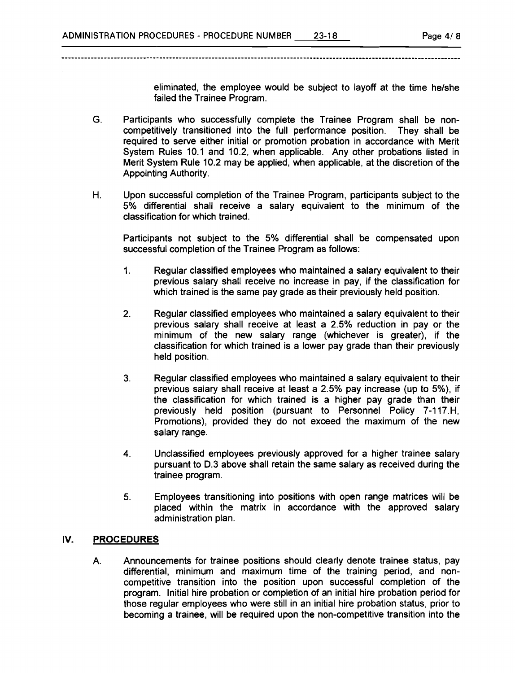eliminated, the employee would be subject to layoff at the time he/she failed the Trainee Program.

- **G.** Participants who successfully complete the Trainee Program shall be noncompetitively transitioned into the full performance position. They shall be required to serve either initial or promotion probation in accordance with Merit System Rules 10.1 and 10.2, when applicable. Any other probations listed in Merit System Rule 10.2 may be applied, when applicable, at the discretion of the Appointing Authority.
- H. Upon successful completion of the Trainee Program, participants subject to the 5% differential shall receive a salary equivalent to the minimum of the classification for which trained.

Participants not subject to the 5% differential shall be compensated upon successful completion of the Trainee Program as follows:

- 1. Regular classified employees who maintained a salary equivalent to their previous salary shall receive no increase in pay, if the classification for which trained is the same pay grade as their previously held position.
- 2. Regular classified employees who maintained a salary equivalent to their previous salary shall receive at least a 2.5% reduction in pay or the minimum of the new salary range (whichever is greater), if the classification for which trained is a lower pay grade than their previously held position.
- **3.** Regular classified employees who maintained a salary equivalent to their previous salary shall receive at least a 2.5% pay increase (up to 5%), if the classification for which trained is a higher pay grade than their previously held position (pursuant to Personnel Policy 7-117.H, Promotions), provided they do not exceed the maximum of the new salary range.
- **4.** Unclassified employees previously approved for a higher trainee salary pursuant to D.3 above shall retain the same salary as received during the trainee program.
- **5.** Employees transitioning into positions with open range matrices will be placed within the matrix in accordance with the approved salary administration plan.

#### **IV. PROCEDURES**

A. Announcements for trainee positions should clearly denote trainee status, pay differential, minimum and maximum time of the training period, and noncompetitive transition into the position upon successful completion of the program. Initial hire probation or completion of an initial hire probation period for those regular employees who were still in an initial hire probation status, prior to becoming a trainee, will be required upon the non-competitive transition into the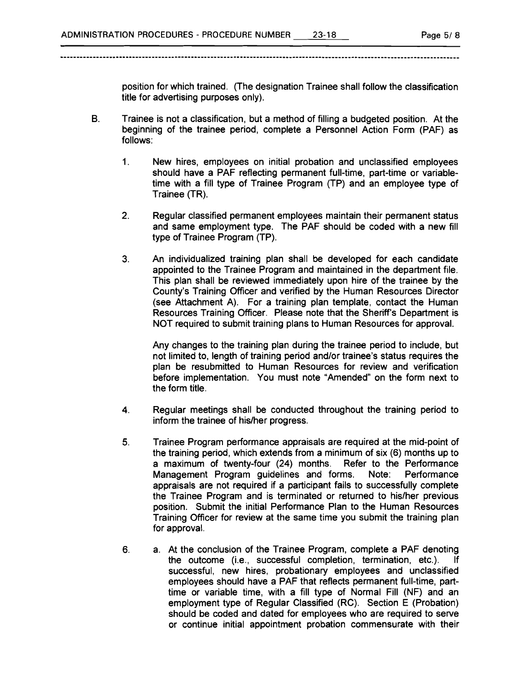position for which trained. (The designation Trainee shall follow the classification title for advertising purposes only).

- B. Trainee is not a classification, but a method of filling a budgeted position. At the beginning of the trainee period, complete a Personnel Action Form (PAF) as follows:
	- 1. New hires, employees on initial probation and unclassified employees should have a PAF reflecting permanent full-time, part-time or variabletime with a fill type of Trainee Program (TP) and an employee type of Trainee (TR).
	- 2. Regular classified permanent employees maintain their permanent status and same employment type. The PAF should be coded with a new fill type of Trainee Program (TP).
	- **3.** An individualized training plan shall be developed for each candidate appointed to the Trainee Program and maintained in the department file. This plan shall be reviewed immediately upon hire of the trainee by the County's Training Officer and verified by the Human Resources Director (see Attachment A). For a training plan template, contact the Human Resources Training Officer. Please note that the Sheriff's Department is NOT required to submit training plans to Human Resources for approval.

Any changes to the training plan during the trainee period to include, but not limited to, length of training period and/or trainee's status requires the plan be resubmitted to Human Resources for review and verification before implementation. You must note "Amended" on the form next to the form title.

- 4. Regular meetings shall be conducted throughout the training period to inform the trainee of his/her progress.
- **5.** Trainee Program performance appraisals are required at the mid-point of the training period, which extends from a minimum of six (6) months up to a maximum of twenty-four (24) months. Refer to the Performance Management Program guidelines and forms. Note: Performance appraisals are not required if a participant fails to successfully complete the Trainee Program and is terminated or returned to his/her previous position. Submit the initial Performance Plan to the Human Resources Training Officer for review at the same time you submit the training plan for approval.
- 6. a. At the conclusion of the Trainee Program, complete a PAF denoting the outcome (i.e., successful completion, termination, etc.). If successful, new hires, probationary employees and unclassified employees should have a PAF that reflects permanent full-time, parttime or variable time, with a fill type of Normal Fill (NF) and an employment type of Regular Classified (RC). Section E (Probation) should be coded and dated for employees who are required to serve or continue initial appointment probation commensurate with their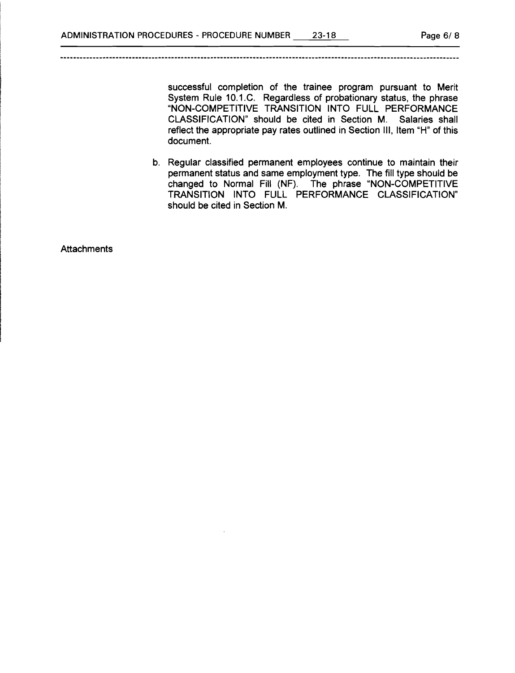successful completion of the trainee program pursuant to Merit System Rule 10.1 .C. Regardless of probationary status, the phrase "NON-COMPETITIVE TRANSITION INTO FULL PERFORMANCE CLASSIFICATION" should be cited in Section M. Salaries shall reflect the appropriate pay rates outlined in Section Ill, Item "H" of this document.

b. Regular classified permanent employees continue to maintain their permanent status and same employment type. The fill type should be changed to Normal Fill (NF). The phrase "NON-COMPETITIVE TRANSITION INTO FULL PERFORMANCE CLASSIFICATION" should be cited in Section M.

**Attachments**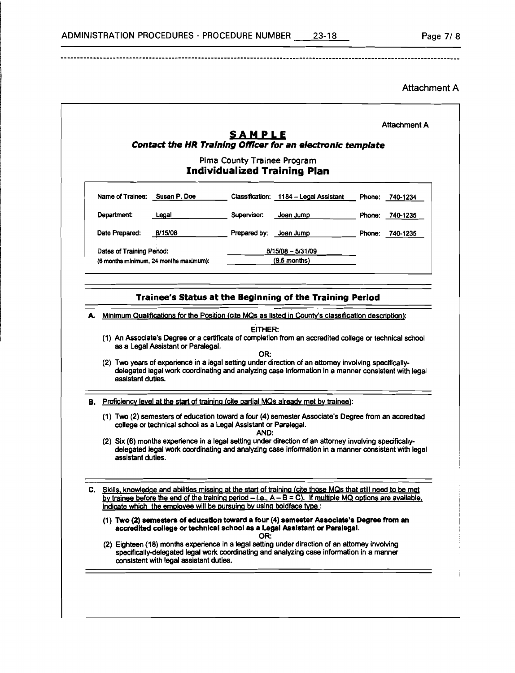. <u>. . . . . . . .</u> . . . .

## Attachment A

|                                                                     |                                                                      |              | Contact the HR Training Officer for an electronic template                                                                                                                                                    |        |          |  |
|---------------------------------------------------------------------|----------------------------------------------------------------------|--------------|---------------------------------------------------------------------------------------------------------------------------------------------------------------------------------------------------------------|--------|----------|--|
| Pima County Trainee Program<br><b>Individualized Training Plan</b>  |                                                                      |              |                                                                                                                                                                                                               |        |          |  |
| Name of Trainee:                                                    | Susan P. Doe                                                         |              | Classification: 1184 - Legal Assistant                                                                                                                                                                        | Phone: | 740-1234 |  |
| Department:                                                         | Legal                                                                | Supervisor:  | Joan Jump                                                                                                                                                                                                     | Phone: | 740-1235 |  |
| Date Prepared:                                                      | B/15/08                                                              | Prepared by: | Joan Jump                                                                                                                                                                                                     | Phone: | 740-1235 |  |
| Dates of Training Period:<br>(6 months minimum, 24 months maximum): |                                                                      |              | 8/15/08 - 5/31/09<br>$(9.5$ months)                                                                                                                                                                           |        |          |  |
|                                                                     |                                                                      |              | Trainee's Status at the Beginning of the Training Period                                                                                                                                                      |        |          |  |
|                                                                     |                                                                      |              |                                                                                                                                                                                                               |        |          |  |
| А.                                                                  |                                                                      |              | Minimum Qualifications for the Position (cite MQs as listed in County's classification description):                                                                                                          |        |          |  |
|                                                                     |                                                                      | EITHER:      |                                                                                                                                                                                                               |        |          |  |
|                                                                     |                                                                      |              | (1) An Associate's Degree or a certificate of completion from an accredited college or technical school                                                                                                       |        |          |  |
|                                                                     | as a Legal Assistant or Paralegal.                                   | OR:          |                                                                                                                                                                                                               |        |          |  |
| assistant duties.                                                   |                                                                      |              | (2) Two years of experience in a legal setting under direction of an attorney involving specifically-<br>delegated legal work coordinating and analyzing case information in a manner consistent with legal   |        |          |  |
|                                                                     |                                                                      |              | <b>B.</b> Proficiency level at the start of training (cite partial MQs already met by trainee):                                                                                                               |        |          |  |
|                                                                     | college or technical school as a Legal Assistant or Paralegal.       |              | (1) Two (2) semesters of education toward a four (4) semester Associate's Degree from an accredited                                                                                                           |        |          |  |
| assistant duties.                                                   |                                                                      | AND:         | (2) Six (6) months experience in a legal setting under direction of an attorney involving specifically-<br>delegated legal work coordinating and analyzing case information in a manner consistent with legal |        |          |  |
|                                                                     |                                                                      |              | C. Skills, knowledge and abilities missing at the start of training (cite those MQs that still need to be met                                                                                                 |        |          |  |
|                                                                     | indicate which the employee will be pursuing by using boldface type: |              | by trainee before the end of the training period $-i.e., A - B = C$ ). If multiple MQ options are available,                                                                                                  |        |          |  |
|                                                                     |                                                                      | OR:          | (1) Two (2) semesters of education toward a four (4) semester Associate's Degree from an<br>accredited college or technical school as a Legal Assistant or Paralegal.                                         |        |          |  |